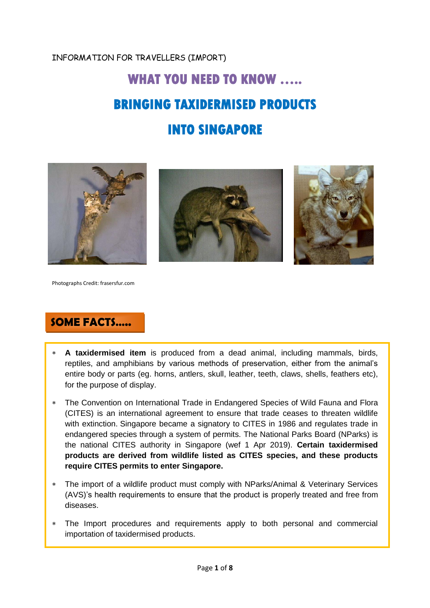#### INFORMATION FOR TRAVELLERS (IMPORT)

# **WHAT YOU NEED TO KNOW ….. BRINGING TAXIDERMISED PRODUCTS INTO SINGAPORE**



Photographs Credit: frasersfur.com

## **SOME FACTS…..**

- **A taxidermised item** is produced from a dead animal, including mammals, birds, reptiles, and amphibians by various methods of preservation, either from the animal's entire body or parts (eg. horns, antlers, skull, leather, teeth, claws, shells, feathers etc), for the purpose of display.
- The Convention on International Trade in Endangered Species of Wild Fauna and Flora (CITES) is an international agreement to ensure that trade ceases to threaten wildlife with extinction. Singapore became a signatory to CITES in 1986 and regulates trade in endangered species through a system of permits. The National Parks Board (NParks) is the national CITES authority in Singapore (wef 1 Apr 2019). **Certain taxidermised products are derived from wildlife listed as CITES species, and these products require CITES permits to enter Singapore.**
- The import of a wildlife product must comply with NParks/Animal & Veterinary Services (AVS)'s health requirements to ensure that the product is properly treated and free from diseases.
- The Import procedures and requirements apply to both personal and commercial importation of taxidermised products.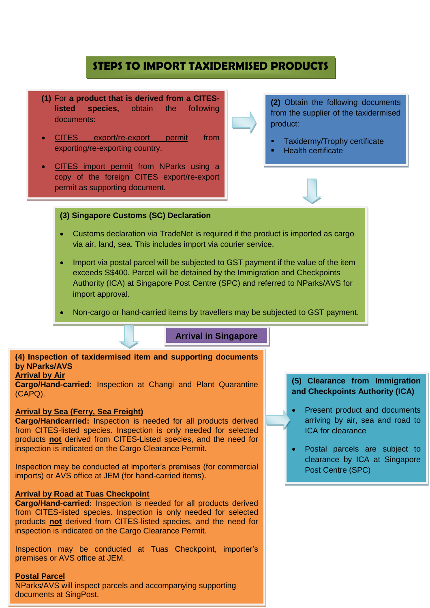### **STEPS TO IMPORT TAXIDERMISED PRODUCTS**

- **(1)** For **a product that is derived from a CITESlisted species,** obtain the following documents:
- CITES export/re-export permit from exporting/re-exporting country.
- CITES import permit from NParks using a copy of the foreign CITES export/re-export permit as supporting document.

**(2)** Obtain the following documents from the supplier of the taxidermised product:

- Taxidermy/Trophy certificate
- Health certificate

#### **(3) Singapore Customs (SC) Declaration**

- Customs declaration via TradeNet is required if the product is imported as cargo via air, land, sea. This includes import via courier service.
- Import via postal parcel will be subjected to GST payment if the value of the item exceeds S\$400. Parcel will be detained by the Immigration and Checkpoints Authority (ICA) at Singapore Post Centre (SPC) and referred to NParks/AVS for import approval.
- Non-cargo or hand-carried items by travellers may be subjected to GST payment.

#### **Arrival in Singapore**

#### **(4) Inspection of taxidermised item and supporting documents by NParks/AVS**

#### **Arrival by Air**

**Cargo/Hand-carried:** Inspection at Changi and Plant Quarantine (CAPQ).

#### **Arrival by Sea (Ferry, Sea Freight)**

**Cargo/Handcarried:** Inspection is needed for all products derived from CITES-listed species. Inspection is only needed for selected products **not** derived from CITES-Listed species, and the need for inspection is indicated on the Cargo Clearance Permit.

Inspection may be conducted at importer's premises (for commercial imports) or AVS office at JEM (for hand-carried items).

#### **Arrival by Road at Tuas Checkpoint**

**Cargo/Hand-carried:** Inspection is needed for all products derived from CITES-listed species. Inspection is only needed for selected products **not** derived from CITES-listed species, and the need for inspection is indicated on the Cargo Clearance Permit.

Inspection may be conducted at Tuas Checkpoint, importer's premises or AVS office at JEM.

#### **Postal Parcel**

NParks/AVS will inspect parcels and accompanying supporting documents at SingPost.

#### **(5) Clearance from Immigration and Checkpoints Authority (ICA)**

- Present product and documents arriving by air, sea and road to ICA for clearance
- Postal parcels are subject to clearance by ICA at Singapore Post Centre (SPC)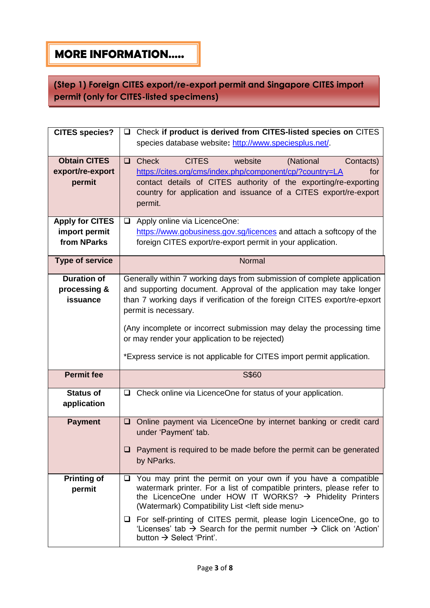# **MORE INFORMATION…..**

**(Step 1) Foreign CITES export/re-export permit and Singapore CITES import permit (only for CITES-listed specimens)**

| <b>CITES species?</b>                                                       | Check if product is derived from CITES-listed species on CITES<br>❏                                                                                                                                                                                                                                                                                                                                                                                                                                                           |
|-----------------------------------------------------------------------------|-------------------------------------------------------------------------------------------------------------------------------------------------------------------------------------------------------------------------------------------------------------------------------------------------------------------------------------------------------------------------------------------------------------------------------------------------------------------------------------------------------------------------------|
|                                                                             | species database website: http://www.speciesplus.net/.                                                                                                                                                                                                                                                                                                                                                                                                                                                                        |
| <b>Obtain CITES</b><br>export/re-export<br>permit<br><b>Apply for CITES</b> | <b>CITES</b><br><b>Check</b><br>website<br>(National<br>Contacts)<br>$\Box$<br>https://cites.org/cms/index.php/component/cp/?country=LA<br>for<br>contact details of CITES authority of the exporting/re-exporting<br>country for application and issuance of a CITES export/re-export<br>permit.<br>Apply online via LicenceOne:<br>□                                                                                                                                                                                        |
| import permit<br>from NParks                                                | https://www.gobusiness.gov.sg/licences and attach a softcopy of the<br>foreign CITES export/re-export permit in your application.                                                                                                                                                                                                                                                                                                                                                                                             |
| <b>Type of service</b>                                                      | Normal                                                                                                                                                                                                                                                                                                                                                                                                                                                                                                                        |
| <b>Duration of</b><br>processing &<br>issuance                              | Generally within 7 working days from submission of complete application<br>and supporting document. Approval of the application may take longer<br>than 7 working days if verification of the foreign CITES export/re-epxort<br>permit is necessary.<br>(Any incomplete or incorrect submission may delay the processing time<br>or may render your application to be rejected)<br>*Express service is not applicable for CITES import permit application.                                                                    |
| <b>Permit fee</b>                                                           | S\$60                                                                                                                                                                                                                                                                                                                                                                                                                                                                                                                         |
| <b>Status of</b><br>application                                             | $\Box$ Check online via LicenceOne for status of your application.                                                                                                                                                                                                                                                                                                                                                                                                                                                            |
| <b>Payment</b>                                                              | Online payment via LicenceOne by internet banking or credit card<br>$\Box$<br>under 'Payment' tab.<br>$\Box$ Payment is required to be made before the permit can be generated<br>by NParks.                                                                                                                                                                                                                                                                                                                                  |
| <b>Printing of</b><br>permit                                                | $\Box$ You may print the permit on your own if you have a compatible<br>watermark printer. For a list of compatible printers, please refer to<br>the LicenceOne under HOW IT WORKS? $\rightarrow$ Phidelity Printers<br>(Watermark) Compatibility List <left menu="" side=""><br/><math>\Box</math> For self-printing of CITES permit, please login LicenceOne, go to<br/>'Licenses' tab <math>\rightarrow</math> Search for the permit number <math>\rightarrow</math> Click on 'Action'<br/>button → Select 'Print'.</left> |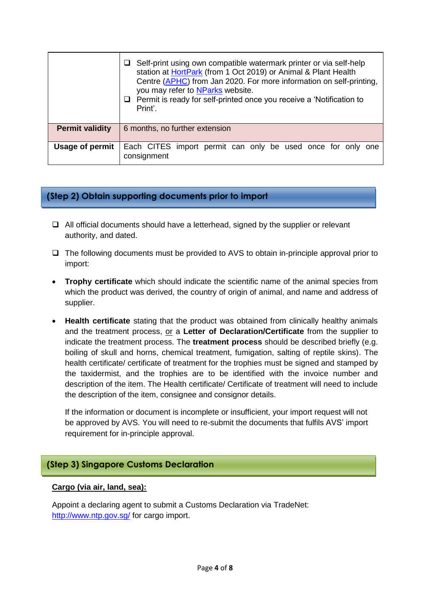|                        | $\Box$ Self-print using own compatible watermark printer or via self-help<br>station at HortPark (from 1 Oct 2019) or Animal & Plant Health<br>Centre (APHC) from Jan 2020. For more information on self-printing,<br>you may refer to NParks website.<br>$\Box$ Permit is ready for self-printed once you receive a 'Notification to<br>Print'. |
|------------------------|--------------------------------------------------------------------------------------------------------------------------------------------------------------------------------------------------------------------------------------------------------------------------------------------------------------------------------------------------|
| <b>Permit validity</b> | 6 months, no further extension                                                                                                                                                                                                                                                                                                                   |
| Usage of permit        | Each CITES import permit can only be used once for only one<br>consignment                                                                                                                                                                                                                                                                       |

#### **(Step 2) Obtain supporting documents prior to import**

- $\Box$  All official documents should have a letterhead, signed by the supplier or relevant authority, and dated.
- $\Box$  The following documents must be provided to AVS to obtain in-principle approval prior to import:
- **Trophy certificate** which should indicate the scientific name of the animal species from which the product was derived, the country of origin of animal, and name and address of supplier.
- **Health certificate** stating that the product was obtained from clinically healthy animals and the treatment process, or a **Letter of Declaration/Certificate** from the supplier to indicate the treatment process. The **treatment process** should be described briefly (e.g. boiling of skull and horns, chemical treatment, fumigation, salting of reptile skins). The health certificate/ certificate of treatment for the trophies must be signed and stamped by the taxidermist, and the trophies are to be identified with the invoice number and description of the item. The Health certificate/ Certificate of treatment will need to include the description of the item, consignee and consignor details.

If the information or document is incomplete or insufficient, your import request will not be approved by AVS. You will need to re-submit the documents that fulfils AVS' import requirement for in-principle approval.

#### **(Step 3) Singapore Customs Declaration**

#### **Cargo (via air, land, sea):**

Appoint a declaring agent to submit a Customs Declaration via TradeNet: <http://www.ntp.gov.sg/> for cargo import.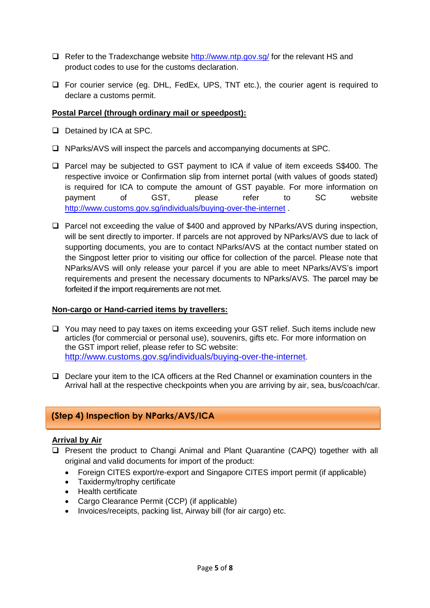- $\Box$  Refer to the Tradexchange website <http://www.ntp.gov.sg/> for the relevant HS and product codes to use for the customs declaration.
- For courier service (eg. DHL, FedEx, UPS, TNT etc.), the courier agent is required to declare a customs permit.

#### **Postal Parcel (through ordinary mail or speedpost):**

- Detained by ICA at SPC.
- $\Box$  NParks/AVS will inspect the parcels and accompanying documents at SPC.
- □ Parcel may be subjected to GST payment to ICA if value of item exceeds S\$400. The respective invoice or Confirmation slip from internet portal (with values of goods stated) is required for ICA to compute the amount of GST payable. For more information on payment of GST, please refer to SC website <http://www.customs.gov.sg/individuals/buying-over-the-internet> .
- $\Box$  Parcel not exceeding the value of \$400 and approved by NParks/AVS during inspection, will be sent directly to importer. If parcels are not approved by NParks/AVS due to lack of supporting documents, you are to contact NParks/AVS at the contact number stated on the Singpost letter prior to visiting our office for collection of the parcel. Please note that NParks/AVS will only release your parcel if you are able to meet NParks/AVS's import requirements and present the necessary documents to NParks/AVS. The parcel may be forfeited if the import requirements are not met.

#### **Non-cargo or Hand-carried items by travellers:**

- □ You may need to pay taxes on items exceeding your GST relief. Such items include new articles (for commercial or personal use), souvenirs, gifts etc. For more information on the GST import relief, please refer to SC website: <http://www.customs.gov.sg/individuals/buying-over-the-internet>.
- D Declare your item to the ICA officers at the Red Channel or examination counters in the Arrival hall at the respective checkpoints when you are arriving by air, sea, bus/coach/car.

#### **(Step 4) Inspection by NParks/AVS/ICA**

#### **Arrival by Air**

- □ Present the product to Changi Animal and Plant Quarantine (CAPQ) together with all original and valid documents for import of the product:
	- Foreign CITES export/re-export and Singapore CITES import permit (if applicable)
	- Taxidermy/trophy certificate
	- Health certificate
	- Cargo Clearance Permit (CCP) (if applicable)
	- Invoices/receipts, packing list, Airway bill (for air cargo) etc.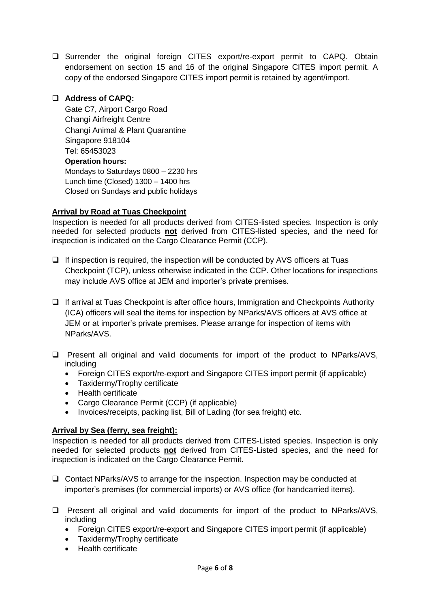□ Surrender the original foreign CITES export/re-export permit to CAPQ. Obtain endorsement on section 15 and 16 of the original Singapore CITES import permit. A copy of the endorsed Singapore CITES import permit is retained by agent/import.

#### **Address of CAPQ:**

Gate C7, Airport Cargo Road Changi Airfreight Centre Changi Animal & Plant Quarantine Singapore 918104 Tel: 65453023 **Operation hours:** Mondays to Saturdays 0800 – 2230 hrs Lunch time (Closed) 1300 – 1400 hrs Closed on Sundays and public holidays

#### **Arrival by Road at Tuas Checkpoint**

Inspection is needed for all products derived from CITES-listed species. Inspection is only needed for selected products **not** derived from CITES-listed species, and the need for inspection is indicated on the Cargo Clearance Permit (CCP).

- $\Box$  If inspection is required, the inspection will be conducted by AVS officers at Tuas Checkpoint (TCP), unless otherwise indicated in the CCP. Other locations for inspections may include AVS office at JEM and importer's private premises.
- $\Box$  If arrival at Tuas Checkpoint is after office hours, Immigration and Checkpoints Authority (ICA) officers will seal the items for inspection by NParks/AVS officers at AVS office at JEM or at importer's private premises. Please arrange for inspection of items with NParks/AVS.
- $\square$  Present all original and valid documents for import of the product to NParks/AVS, including
	- Foreign CITES export/re-export and Singapore CITES import permit (if applicable)
	- Taxidermy/Trophy certificate
	- Health certificate
	- Cargo Clearance Permit (CCP) (if applicable)
	- Invoices/receipts, packing list, Bill of Lading (for sea freight) etc.

#### **Arrival by Sea (ferry, sea freight):**

Inspection is needed for all products derived from CITES-Listed species. Inspection is only needed for selected products **not** derived from CITES-Listed species, and the need for inspection is indicated on the Cargo Clearance Permit.

- Contact NParks/AVS to arrange for the inspection. Inspection may be conducted at importer's premises (for commercial imports) or AVS office (for handcarried items).
- $\square$  Present all original and valid documents for import of the product to NParks/AVS, including
	- Foreign CITES export/re-export and Singapore CITES import permit (if applicable)
	- Taxidermy/Trophy certificate
	- Health certificate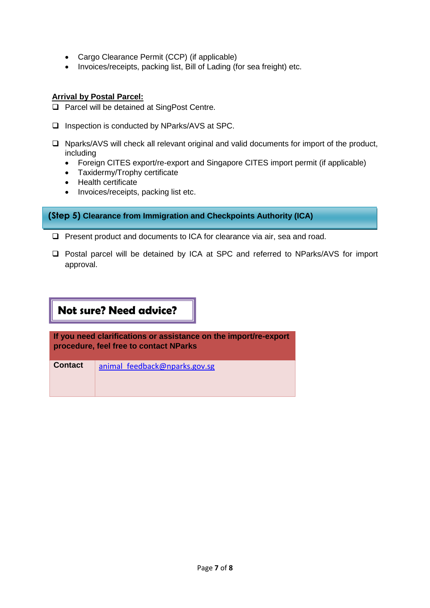- Cargo Clearance Permit (CCP) (if applicable)
- Invoices/receipts, packing list, Bill of Lading (for sea freight) etc.

#### **Arrival by Postal Parcel:**

- □ Parcel will be detained at SingPost Centre.
- $\square$  Inspection is conducted by NParks/AVS at SPC.
- $\Box$  Nparks/AVS will check all relevant original and valid documents for import of the product, including
	- Foreign CITES export/re-export and Singapore CITES import permit (if applicable)
	- Taxidermy/Trophy certificate
	- Health certificate
	- Invoices/receipts, packing list etc.

**(Step 5) Clearance from Immigration and Checkpoints Authority (ICA)**

- □ Present product and documents to ICA for clearance via air, sea and road.
- □ Postal parcel will be detained by ICA at SPC and referred to NParks/AVS for import approval.

# **Not sure? Need advice?**

**If you need clarifications or assistance on the import/re-export procedure, feel free to contact NParks** 

**Contact** animal feedback@nparks.gov.sg